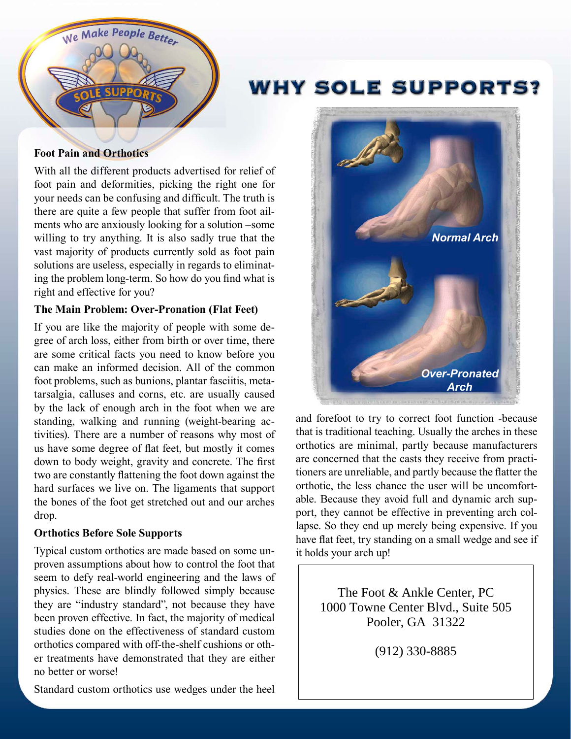

# **WHY SOLE SUPPORTS?**

#### **Foot Pain and Orthotics**

With all the different products advertised for relief of foot pain and deformities, picking the right one for your needs can be confusing and difficult. The truth is there are quite a few people that suffer from foot ailments who are anxiously looking for a solution –some willing to try anything. It is also sadly true that the vast majority of products currently sold as foot pain solutions are useless, especially in regards to eliminating the problem long-term. So how do you find what is right and effective for you?

#### **The Main Problem: Over-Pronation (Flat Feet)**

If you are like the majority of people with some degree of arch loss, either from birth or over time, there are some critical facts you need to know before you can make an informed decision. All of the common foot problems, such as bunions, plantar fasciitis, metatarsalgia, calluses and corns, etc. are usually caused by the lack of enough arch in the foot when we are standing, walking and running (weight-bearing activities). There are a number of reasons why most of us have some degree of flat feet, but mostly it comes down to body weight, gravity and concrete. The first two are constantly flattening the foot down against the hard surfaces we live on. The ligaments that support the bones of the foot get stretched out and our arches drop.

#### **Orthotics Before Sole Supports**

Typical custom orthotics are made based on some unproven assumptions about how to control the foot that seem to defy real-world engineering and the laws of physics. These are blindly followed simply because they are "industry standard", not because they have been proven effective. In fact, the majority of medical studies done on the effectiveness of standard custom orthotics compared with off-the-shelf cushions or other treatments have demonstrated that they are either no better or worse!

*Normal Arch Over-Pronated Arch*

and forefoot to try to correct foot function -because that is traditional teaching. Usually the arches in these orthotics are minimal, partly because manufacturers are concerned that the casts they receive from practitioners are unreliable, and partly because the flatter the orthotic, the less chance the user will be uncomfortable. Because they avoid full and dynamic arch support, they cannot be effective in preventing arch collapse. So they end up merely being expensive. If you have flat feet, try standing on a small wedge and see if it holds your arch up!

> The Foot & Ankle Center, PC 1000 Towne Center Blvd., Suite 505 Pooler, GA 31322

> > (912) 330-8885

Standard custom orthotics use wedges under the heel